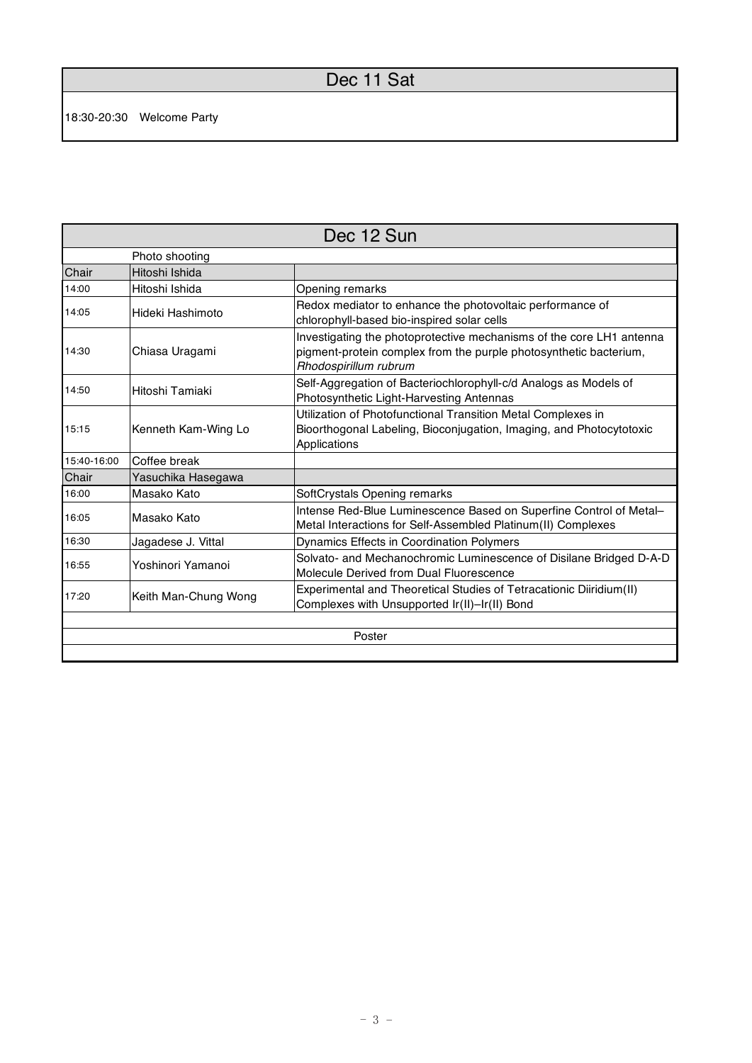## Dec 11 Sat

| Dec 12 Sun  |                      |                                                                                                                                                                    |  |  |
|-------------|----------------------|--------------------------------------------------------------------------------------------------------------------------------------------------------------------|--|--|
|             | Photo shooting       |                                                                                                                                                                    |  |  |
| Chair       | Hitoshi Ishida       |                                                                                                                                                                    |  |  |
| 14:00       | Hitoshi Ishida       | Opening remarks                                                                                                                                                    |  |  |
| 14:05       | Hideki Hashimoto     | Redox mediator to enhance the photovoltaic performance of<br>chlorophyll-based bio-inspired solar cells                                                            |  |  |
| 14:30       | Chiasa Uragami       | Investigating the photoprotective mechanisms of the core LH1 antenna<br>pigment-protein complex from the purple photosynthetic bacterium,<br>Rhodospirillum rubrum |  |  |
| 14:50       | Hitoshi Tamiaki      | Self-Aggregation of Bacteriochlorophyll-c/d Analogs as Models of<br>Photosynthetic Light-Harvesting Antennas                                                       |  |  |
| 15:15       | Kenneth Kam-Wing Lo  | Utilization of Photofunctional Transition Metal Complexes in<br>Bioorthogonal Labeling, Bioconjugation, Imaging, and Photocytotoxic<br>Applications                |  |  |
| 15:40-16:00 | Coffee break         |                                                                                                                                                                    |  |  |
| Chair       | Yasuchika Hasegawa   |                                                                                                                                                                    |  |  |
| 16:00       | Masako Kato          | SoftCrystals Opening remarks                                                                                                                                       |  |  |
| 16:05       | Masako Kato          | Intense Red-Blue Luminescence Based on Superfine Control of Metal-<br>Metal Interactions for Self-Assembled Platinum(II) Complexes                                 |  |  |
| 16:30       | Jagadese J. Vittal   | Dynamics Effects in Coordination Polymers                                                                                                                          |  |  |
| 16:55       | Yoshinori Yamanoi    | Solvato- and Mechanochromic Luminescence of Disilane Bridged D-A-D<br>Molecule Derived from Dual Fluorescence                                                      |  |  |
| 17:20       | Keith Man-Chung Wong | Experimental and Theoretical Studies of Tetracationic Diiridium(II)<br>Complexes with Unsupported Ir(II)-Ir(II) Bond                                               |  |  |
|             |                      |                                                                                                                                                                    |  |  |
| Poster      |                      |                                                                                                                                                                    |  |  |
|             |                      |                                                                                                                                                                    |  |  |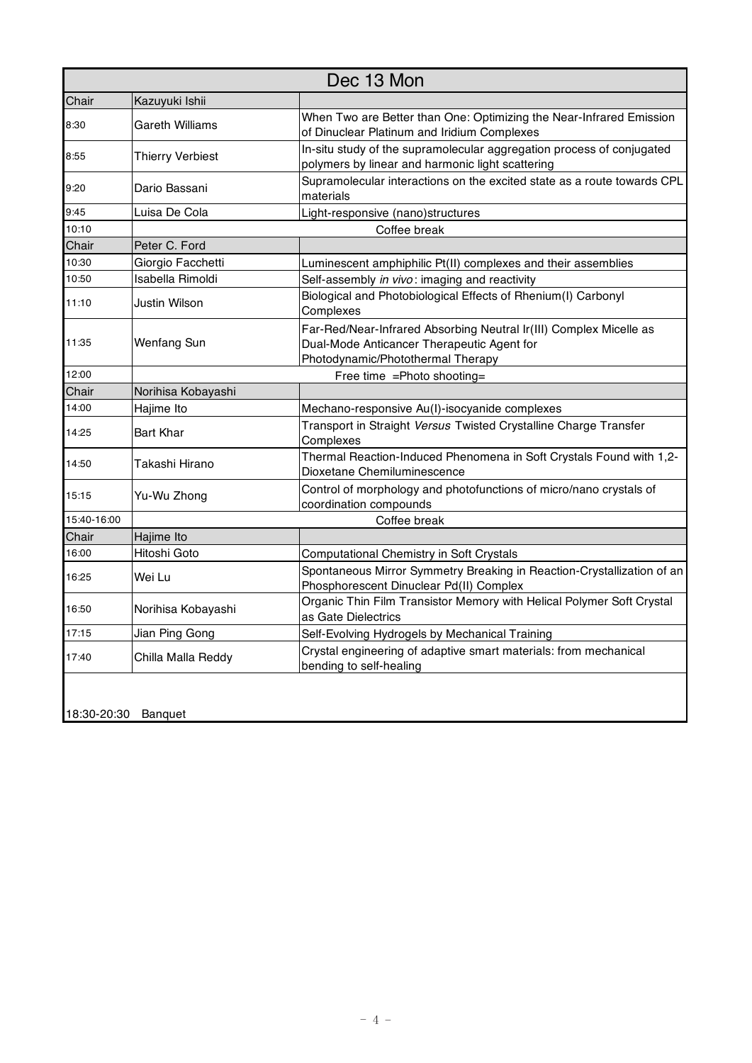| Dec 13 Mon  |                         |                                                                                                                                                       |  |  |
|-------------|-------------------------|-------------------------------------------------------------------------------------------------------------------------------------------------------|--|--|
| Chair       | Kazuyuki Ishii          |                                                                                                                                                       |  |  |
| 8:30        | <b>Gareth Williams</b>  | When Two are Better than One: Optimizing the Near-Infrared Emission<br>of Dinuclear Platinum and Iridium Complexes                                    |  |  |
| 8:55        | <b>Thierry Verbiest</b> | In-situ study of the supramolecular aggregation process of conjugated<br>polymers by linear and harmonic light scattering                             |  |  |
| 9:20        | Dario Bassani           | Supramolecular interactions on the excited state as a route towards CPL<br>materials                                                                  |  |  |
| 9:45        | Luisa De Cola           | Light-responsive (nano)structures                                                                                                                     |  |  |
| 10:10       | Coffee break            |                                                                                                                                                       |  |  |
| Chair       | Peter C. Ford           |                                                                                                                                                       |  |  |
| 10:30       | Giorgio Facchetti       | Luminescent amphiphilic Pt(II) complexes and their assemblies                                                                                         |  |  |
| 10:50       | Isabella Rimoldi        | Self-assembly in vivo: imaging and reactivity                                                                                                         |  |  |
| 11:10       | Justin Wilson           | Biological and Photobiological Effects of Rhenium(I) Carbonyl<br>Complexes                                                                            |  |  |
| 11:35       | Wenfang Sun             | Far-Red/Near-Infrared Absorbing Neutral Ir(III) Complex Micelle as<br>Dual-Mode Anticancer Therapeutic Agent for<br>Photodynamic/Photothermal Therapy |  |  |
| 12:00       |                         | Free time = Photo shooting=                                                                                                                           |  |  |
| Chair       | Norihisa Kobayashi      |                                                                                                                                                       |  |  |
| 14:00       | Hajime Ito              | Mechano-responsive Au(I)-isocyanide complexes                                                                                                         |  |  |
| 14:25       | <b>Bart Khar</b>        | Transport in Straight Versus Twisted Crystalline Charge Transfer<br>Complexes                                                                         |  |  |
| 14:50       | Takashi Hirano          | Thermal Reaction-Induced Phenomena in Soft Crystals Found with 1,2-<br>Dioxetane Chemiluminescence                                                    |  |  |
| 15:15       | Yu-Wu Zhong             | Control of morphology and photofunctions of micro/nano crystals of<br>coordination compounds                                                          |  |  |
| 15:40-16:00 |                         | Coffee break                                                                                                                                          |  |  |
| Chair       | Hajime Ito              |                                                                                                                                                       |  |  |
| 16:00       | Hitoshi Goto            | Computational Chemistry in Soft Crystals                                                                                                              |  |  |
| 16:25       | Wei Lu                  | Spontaneous Mirror Symmetry Breaking in Reaction-Crystallization of an<br>Phosphorescent Dinuclear Pd(II) Complex                                     |  |  |
| 16:50       | Norihisa Kobayashi      | Organic Thin Film Transistor Memory with Helical Polymer Soft Crystal<br>as Gate Dielectrics                                                          |  |  |
| 17:15       | Jian Ping Gong          | Self-Evolving Hydrogels by Mechanical Training                                                                                                        |  |  |
| 17:40       | Chilla Malla Reddy      | Crystal engineering of adaptive smart materials: from mechanical<br>bending to self-healing                                                           |  |  |
| 18:30-20:30 | Banquet                 |                                                                                                                                                       |  |  |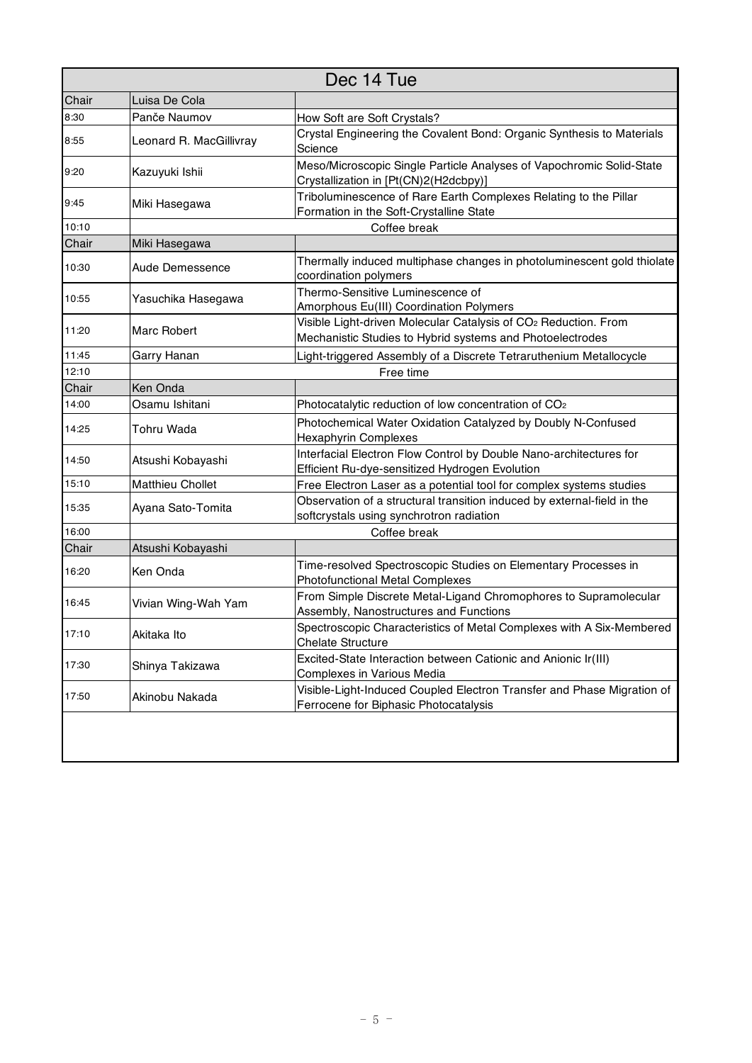| Dec 14 Tue |                         |                                                                                                                                          |  |  |
|------------|-------------------------|------------------------------------------------------------------------------------------------------------------------------------------|--|--|
| Chair      | Luisa De Cola           |                                                                                                                                          |  |  |
| 8:30       | Panče Naumov            | How Soft are Soft Crystals?                                                                                                              |  |  |
| 8:55       | Leonard R. MacGillivray | Crystal Engineering the Covalent Bond: Organic Synthesis to Materials<br>Science                                                         |  |  |
| 9:20       | Kazuyuki Ishii          | Meso/Microscopic Single Particle Analyses of Vapochromic Solid-State<br>Crystallization in [Pt(CN)2(H2dcbpy)]                            |  |  |
| 9:45       | Miki Hasegawa           | Triboluminescence of Rare Earth Complexes Relating to the Pillar<br>Formation in the Soft-Crystalline State                              |  |  |
| 10:10      | Coffee break            |                                                                                                                                          |  |  |
| Chair      | Miki Hasegawa           |                                                                                                                                          |  |  |
| 10:30      | Aude Demessence         | Thermally induced multiphase changes in photoluminescent gold thiolate<br>coordination polymers                                          |  |  |
| 10:55      | Yasuchika Hasegawa      | Thermo-Sensitive Luminescence of<br>Amorphous Eu(III) Coordination Polymers                                                              |  |  |
| 11:20      | Marc Robert             | Visible Light-driven Molecular Catalysis of CO <sub>2</sub> Reduction. From<br>Mechanistic Studies to Hybrid systems and Photoelectrodes |  |  |
| 11:45      | Garry Hanan             | Light-triggered Assembly of a Discrete Tetraruthenium Metallocycle                                                                       |  |  |
| 12:10      | Free time               |                                                                                                                                          |  |  |
| Chair      | Ken Onda                |                                                                                                                                          |  |  |
| 14:00      | Osamu Ishitani          | Photocatalytic reduction of low concentration of CO <sub>2</sub>                                                                         |  |  |
| 14:25      | <b>Tohru Wada</b>       | Photochemical Water Oxidation Catalyzed by Doubly N-Confused<br><b>Hexaphyrin Complexes</b>                                              |  |  |
| 14:50      | Atsushi Kobayashi       | Interfacial Electron Flow Control by Double Nano-architectures for<br>Efficient Ru-dye-sensitized Hydrogen Evolution                     |  |  |
| 15:10      | <b>Matthieu Chollet</b> | Free Electron Laser as a potential tool for complex systems studies                                                                      |  |  |
| 15:35      | Ayana Sato-Tomita       | Observation of a structural transition induced by external-field in the<br>softcrystals using synchrotron radiation                      |  |  |
| 16:00      |                         | Coffee break                                                                                                                             |  |  |
| Chair      | Atsushi Kobayashi       |                                                                                                                                          |  |  |
| 16:20      | Ken Onda                | Time-resolved Spectroscopic Studies on Elementary Processes in<br><b>Photofunctional Metal Complexes</b>                                 |  |  |
| 16:45      | Vivian Wing-Wah Yam     | From Simple Discrete Metal-Ligand Chromophores to Supramolecular<br>Assembly, Nanostructures and Functions                               |  |  |
| 17:10      | Akitaka Ito             | Spectroscopic Characteristics of Metal Complexes with A Six-Membered<br><b>Chelate Structure</b>                                         |  |  |
| 17:30      | Shinya Takizawa         | Excited-State Interaction between Cationic and Anionic Ir(III)<br>Complexes in Various Media                                             |  |  |
| 17:50      | Akinobu Nakada          | Visible-Light-Induced Coupled Electron Transfer and Phase Migration of<br>Ferrocene for Biphasic Photocatalysis                          |  |  |